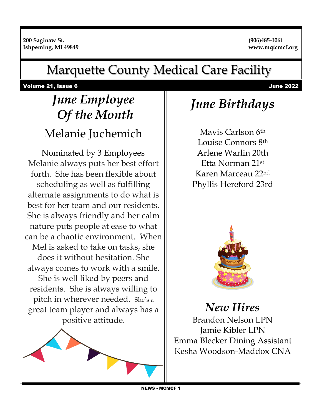#### Marquette County Medical Care Facility

Volume 21, Issue 6 June 2022

# *June Employee Of the Month*

#### Melanie Juchemich Nominated by 3 Employees

Melanie always puts her best effort forth. She has been flexible about scheduling as well as fulfilling alternate assignments to do what is best for her team and our residents. She is always friendly and her calm nature puts people at ease to what can be a chaotic environment. When Mel is asked to take on tasks, she does it without hesitation. She always comes to work with a smile. She is well liked by peers and residents. She is always willing to pitch in wherever needed. She's a great team player and always has a positive attitude.



### *June Birthdays*

Mavis Carlson 6th Louise Connors 8th Arlene Warlin 20th Etta Norman 21st Karen Marceau 22nd Phyllis Hereford 23rd



*New Hires*  Brandon Nelson LPN Jamie Kibler LPN Emma Blecker Dining Assistant Kesha Woodson-Maddox CNA

NEWS - MCMCF 1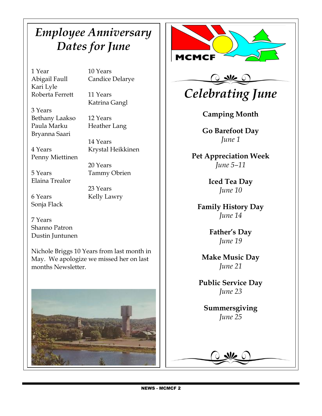#### *Employee Anniversary Dates for June*

1 Year 10 Years Kari Lyle Roberta Ferrett 11 Years

Abigail Faull Candice Delarye

Katrina Gangl

3 Years Bethany Laakso 12 Years Paula Marku Heather Lang Bryanna Saari

 $\overline{\phantom{a}}$ 

14 Years 4 Years Krystal Heikkinen

Penny Miettinen

5 Years Tammy Obrien Elaina Trealor

6 Years Kelly Lawry Sonja Flack

23 Years

20 Years

7 Years Shanno Patron Dustin Juntunen

Nichole Briggs 10 Years from last month in May. We apologize we missed her on last months Newsletter.





## *Celebrating June*

**Camping Month** 

**Go Barefoot Day** *June 1*

**Pet Appreciation Week** *June 5–11*

> **Iced Tea Day** *June 10*

**Family History Day** *June 14*

> **Father's Day** *June 19*

**Make Music Day** *June 21*

**Public Service Day** *June 23*

**Summersgiving** *June 25*

 $\frac{1}{2}$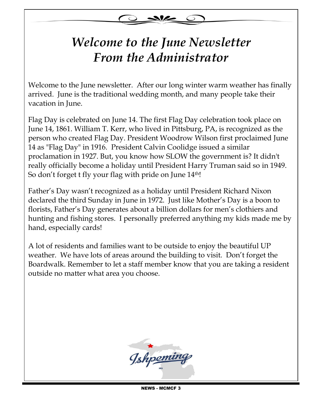

#### **Visitation Guidelines** *Welcome to the June Newsletter From the Administrator*

Welcome to the June newsletter. After our long winter warm weather has finally arrived. June is the traditional wedding month, and many people take their vacation in June.

Flag Day is celebrated on June 14. The first Flag Day celebration took place on June 14, 1861. William T. Kerr, who lived in Pittsburg, PA, is recognized as the person who created Flag Day. President Woodrow Wilson first proclaimed June 14 as "Flag Day" in 1916. President Calvin Coolidge issued a similar proclamation in 1927. But, you know how SLOW the government is? It didn't really officially become a holiday until President Harry Truman said so in 1949. So don't forget t fly your flag with pride on June 14<sup>th!</sup>

Father's Day wasn't recognized as a holiday until President Richard Nixon declared the third Sunday in June in 1972. Just like Mother's Day is a boon to florists, Father's Day generates about a billion dollars for men's clothiers and hunting and fishing stores. I personally preferred anything my kids made me by hand, especially cards!

A lot of residents and families want to be outside to enjoy the beautiful UP weather. We have lots of areas around the building to visit. Don't forget the Boardwalk. Remember to let a staff member know that you are taking a resident outside no matter what area you choose.

MARCUETTE COUNTY MEDICAL CARE FACILITY OF COUNTY OF COUNTY OF COUNTY OF COUNTY OF COUNTY OF COUNTY OF COUNTY OF 200 Saginaw Street, Ishpeming, MI 49849  $\gamma$ **DEPARTMENT** 

NEWS - MCMCF 3